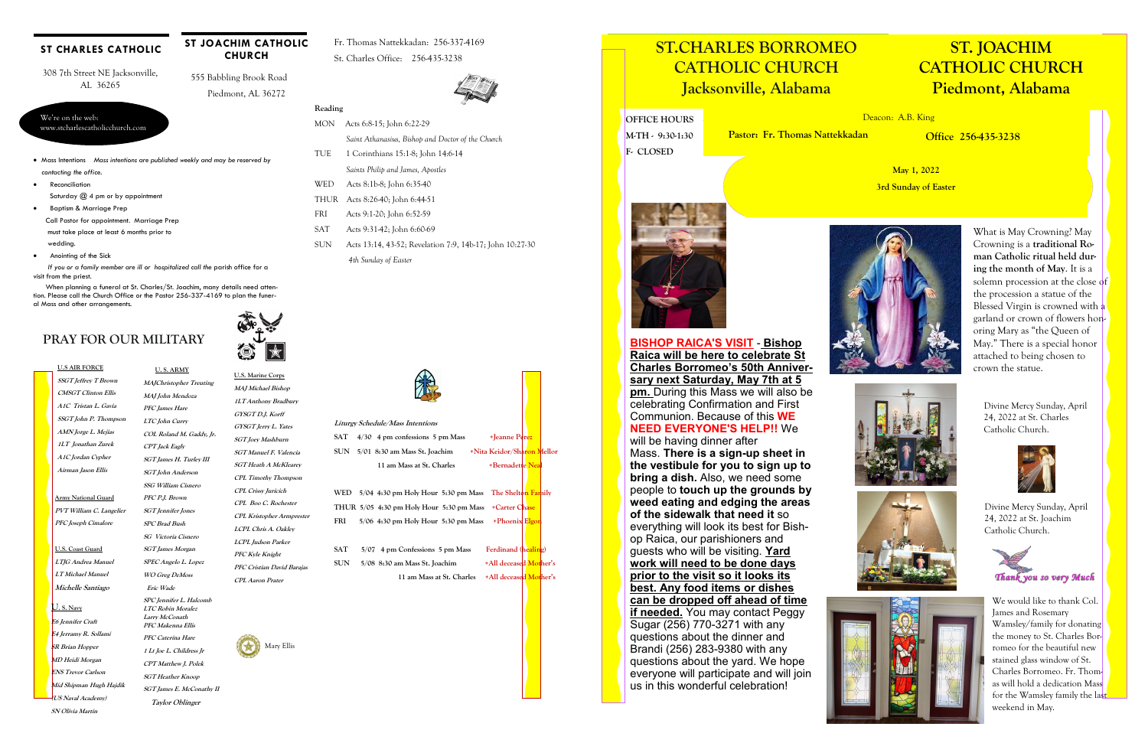#### **U.S AIR FORCE**

**SSGT Jeffrey T Brown CMSGT Clinton Ellis A1C Tristan L. Gavia SSGT John P. Thompson AMN Jorge L. Mejias 1LT Jonathan Zurek A1C Jordan Cypher Airman Jason Ellis** 

**PRAY FOR OUR MILITARY** 

# **ST CHARLES CATHOLIC**

# **U. S. ARMY**

**PFC Caterina Hare 1 Lt Joe L. Childress Jr CPT Matthew J. Polek SGT Heather Knoop SGT James E. McConathy II Taylor Oblinger** 

*If you or a family member are ill or hospitalized call the parish office for a* visit from the priest.

**Army National Guard PVT William C. Langelier PFC Joseph Cimalore** 

**U.S. Coast Guard LTJG Andrea Manuel LT Michael Manuel Michelle Santiago** 



308 7th Street NE Jacksonville, AL 36265

 555 Babbling Brook Road Piedmont, AL 36272

**ST JOACHIM CATHOLIC CHURCH** 

Fr. Thomas Nattekkadan: 256-337-4169 St. Charles Office: 256-435-3238



- Mass Intentions *Mass intentions are published weekly and may be reserved by contacting the office.*
- **•** Reconciliation Saturday @ 4 pm or by appointment Baptism & Marriage Prep
- Call Pastor for appointment. Marriage Prep
- must take place at least 6 months prior to wedding.

**MAJChristopher Treuting MAJ John Mendoza PFC James Hare LTC John Curry COL Roland M. Gaddy, Jr. CPT Jack Eagly SGT James H. Turley III SGT John Anderson SSG William Cisnero PFC P.J. Brown SGT Jennifer Jones SPC Brad Bush SG Victoria Cisnero MAJ Michael Bishop 1LT Anthony Bradbury GYSGT D.J. Korff GYSGT Jerry L. Yates SGT Joey Mashburn SGT Manuel F. Valencia SGT Heath A McKlearey CPL Timothy Thompson CPL Crissy Juricich CPL Boo C. Rochester CPL Kristopher Armprester LCPL Chris A. Oakley LCPL Judson Parker PFC Kyle Knight PFC Cristian David Barajas** 

**WED 5/04 4:30 pm Holy Hour 5:30 pm Mass The Shelton Family THUR 5/05 4:30 pm Holy Hour 5:30 pm Mass +Carter Chase FRI** 5/06 4:30 pm Holy Hour 5:30 pm Mass +Phoenix Elgo

Anointing of the Sick

**SGT James Morgan SPEC Angelo L. Lopez WO Greg DeMoss Eric Wade SPC Jennifer L. Halcomb LTC Robin Moralez Larry McConath PFC Makenna Ellis CPL Aaron Prater** 

 When planning a funeral at St. Charles/St. Joachim, many details need attention. Please call the Church Office or the Pastor 256-337-4169 to plan the funeral Mass and other arrangements.



## **Reading**

MON Acts 6:8-15; John 6:22-29

*Saint Athanasius, Bishop and Doctor of the Church* 

- TUE 1 Corinthians 15:1-8; John 14:6-14 *Saints Philip and James, Apostles*
- WED Acts 8:1b-8; John 6:35-40
- THUR Acts 8:26-40; John 6:44-51
- FRI Acts 9:1-20; John 6:52-59
- SAT Acts 9:31-42; John 6:60-69
- SUN Acts 13:14, 43-52; Revelation 7:9, 14b-17; John 10:27-30
	- *4th Sunday of Easter*

**U.S. Marine Corps** 

## **U. S. Navy**

**E6 Jennifer Craft E4 Jerramy R. Sollami SR Brian Hopper MD Heidi Morgan ENS Trevor Carlson Mid Shipman Hugh Hajdik (US Naval Academy) SN Olivia Martin** 







**Liturgy Schedule/Mass Intentions** 





**SAT 5/07 4 pm Confessions 5 pm Mass Ferdinand (healing) SUN 5/08 8:30 am Mass St. Joachim +All deceased Mother's 11 am Mass at St. Charles +All deceased Mother's**







# ST.CHARLES BORROMEO **ST.CHARLES BORROMEO ST.CHARLES BORROMEO**  CATHOLIC CHURCH **CATHOLIC CHURCH CATHOLIC CHURCH**   $\overline{\text{A}}$ abama **Jacksonville, Alabama Jacksonville, Alabama**

# **ST. JOACHIM CATHOLIC CHURCH Piedmont, Alabama**

Deacon: A.B. King

**May 1, 2022 3rd Sunday of Easter** 



**Office 256-435-3238** 

# **OFFICE HOURS**

**M-TH - 9:30-1:30** 

**F- CLOSED** 



**Pastor: Fr. Thomas Nattekkadan** 

What is May Crowning? May Crowning is a **traditional Roman Catholic ritual held during the month of May**. It is a solemn procession at the close of the procession a statue of the Blessed Virgin is crowned with a garland or crown of flowers honoring Mary as "the Queen of May." There is a special honor attached to being chosen to crown the statue.







**BISHOP RAICA'S VISIT** - **Bishop Raica will be here to celebrate St Charles Borromeo's 50th Anniversary next Saturday, May 7th at 5 pm.** During this Mass we will also be celebrating Confirmation and First Communion. Because of this **WE NEED EVERYONE'S HELP!!** We

will be having dinner after Mass. **There is a sign-up sheet in the vestibule for you to sign up to bring a dish.** Also, we need some people to **touch up the grounds by weed eating and edging the areas of the sidewalk that need it** so everything will look its best for Bishop Raica, our parishioners and guests who will be visiting. **Yard work will need to be done days prior to the visit so it looks its best. Any food items or dishes can be dropped off ahead of time if needed.** You may contact Peggy Sugar (256) 770-3271 with any questions about the dinner and Brandi (256) 283-9380 with any questions about the yard. We hope everyone will participate and will join us in this wonderful celebration!

Divine Mercy Sunday, April 24, 2022 at St. Charles Catholic Church.



Divine Mercy Sunday, April 24, 2022 at St. Joachim Catholic Church.

We would like to thank Col. James and Rosemary Wamsley/family for donating the money to St. Charles Borromeo for the beautiful new stained glass window of St. Charles Borromeo. Fr. Thomas will hold a dedication Mass for the Wamsley family the last weekend in May.